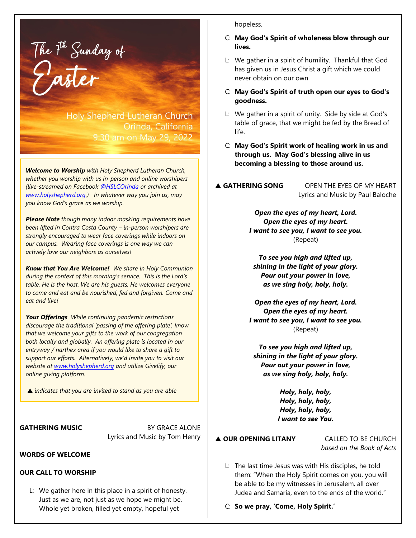Holy Shepherd Lutheran Church Orinda, California 9:30 am on May 29, 2022

*Welcome to Worship with Holy Shepherd Lutheran Church, whether you worship with us in-person and online worshipers (live-streamed on Facebook @HSLCOrinda or archived at www.holyshepherd.org.) In whatever way you join us, may you know God's grace as we worship.* 

The i<sup>th</sup> Sunday of

*Please Note though many indoor masking requirements have been lifted in Contra Costa County – in-person worshipers are strongly encouraged to wear face coverings while indoors on our campus. Wearing face coverings is one way we can actively love our neighbors as ourselves!* 

*Know that You Are Welcome! We share in Holy Communion during the context of this morning's service. This is the Lord's table. He is the host. We are his guests. He welcomes everyone to come and eat and be nourished, fed and forgiven. Come and eat and live!*

*Your Offerings While continuing pandemic restrictions discourage the traditional 'passing of the offering plate', know that we welcome your gifts to the work of our congregation both locally and globally. An offering plate is located in our entryway / narthex area if you would like to share a gift to support our efforts. Alternatively, we'd invite you to visit our website at [www.holyshepherd.org](http://www.holyshepherd.org) and utilize Givelify, our online giving platform.*

*indicates that you are invited to stand as you are able*

**GATHERING MUSIC** BY GRACE ALONE Lyrics and Music by Tom Henry

### **WORDS OF WELCOME**

## **OUR CALL TO WORSHIP**

L: We gather here in this place in a spirit of honesty. Just as we are, not just as we hope we might be. Whole yet broken, filled yet empty, hopeful yet

hopeless.

- C: **May God's Spirit of wholeness blow through our lives.**
- L: We gather in a spirit of humility. Thankful that God has given us in Jesus Christ a gift which we could never obtain on our own.
- C: **May God's Spirit of truth open our eyes to God's goodness.**
- L: We gather in a spirit of unity. Side by side at God's table of grace, that we might be fed by the Bread of life.
- C: **May God's Spirit work of healing work in us and through us. May God's blessing alive in us becoming a blessing to those around us.**

**A GATHERING SONG** OPEN THE EYES OF MY HEART Lyrics and Music by Paul Baloche

> *Open the eyes of my heart, Lord. Open the eyes of my heart. I want to see you, I want to see you.* (Repeat)

*To see you high and lifted up, shining in the light of your glory. Pour out your power in love, as we sing holy, holy, holy.*

*Open the eyes of my heart, Lord. Open the eyes of my heart. I want to see you, I want to see you.* (Repeat)

*To see you high and lifted up, shining in the light of your glory. Pour out your power in love, as we sing holy, holy, holy.*

> *Holy, holy, holy, Holy, holy, holy, Holy, holy, holy, I want to see You.*

 **OUR OPENING LITANY** CALLED TO BE CHURCH *based on the Book of Acts*

L: The last time Jesus was with His disciples, he told them: "When the Holy Spirit comes on you, you will be able to be my witnesses in Jerusalem, all over Judea and Samaria, even to the ends of the world."

C: **So we pray, 'Come, Holy Spirit.'**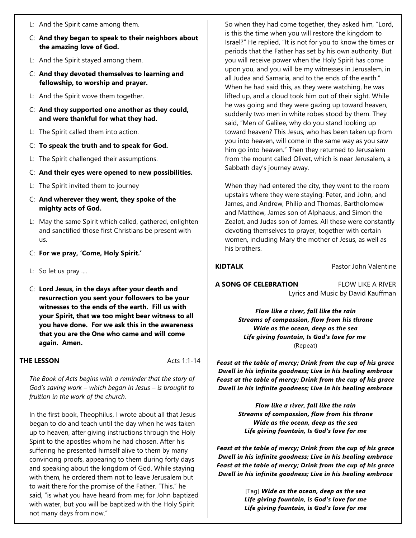- L: And the Spirit came among them.
- C: **And they began to speak to their neighbors about the amazing love of God.**
- L: And the Spirit stayed among them.
- C: **And they devoted themselves to learning and fellowship, to worship and prayer.**
- L: And the Spirit wove them together.
- C: **And they supported one another as they could, and were thankful for what they had.**
- L: The Spirit called them into action.
- C: **To speak the truth and to speak for God.**
- L: The Spirit challenged their assumptions.
- C: **And their eyes were opened to new possibilities.**
- L: The Spirit invited them to journey
- C: **And wherever they went, they spoke of the mighty acts of God.**
- L: May the same Spirit which called, gathered, enlighten and sanctified those first Christians be present with us.
- C: **For we pray, 'Come, Holy Spirit.'**
- L: So let us pray ....
- C: **Lord Jesus, in the days after your death and resurrection you sent your followers to be your witnesses to the ends of the earth. Fill us with your Spirit, that we too might bear witness to all you have done. For we ask this in the awareness that you are the One who came and will come again. Amen.**

### **THE LESSON** Acts 1:1-14

*The Book of Acts begins with a reminder that the story of God's saving work – which began in Jesus – is brought to fruition in the work of the church.*

In the first book, Theophilus, I wrote about all that Jesus began to do and teach until the day when he was taken up to heaven, after giving instructions through the Holy Spirit to the apostles whom he had chosen. After his suffering he presented himself alive to them by many convincing proofs, appearing to them during forty days and speaking about the kingdom of God. While staying with them, he ordered them not to leave Jerusalem but to wait there for the promise of the Father. "This," he said, "is what you have heard from me; for John baptized with water, but you will be baptized with the Holy Spirit not many days from now."

So when they had come together, they asked him, "Lord, is this the time when you will restore the kingdom to Israel?" He replied, "It is not for you to know the times or periods that the Father has set by his own authority. But you will receive power when the Holy Spirit has come upon you, and you will be my witnesses in Jerusalem, in all Judea and Samaria, and to the ends of the earth." When he had said this, as they were watching, he was lifted up, and a cloud took him out of their sight. While he was going and they were gazing up toward heaven, suddenly two men in white robes stood by them. They said, "Men of Galilee, why do you stand looking up toward heaven? This Jesus, who has been taken up from you into heaven, will come in the same way as you saw him go into heaven." Then they returned to Jerusalem from the mount called Olivet, which is near Jerusalem, a Sabbath day's journey away.

When they had entered the city, they went to the room upstairs where they were staying: Peter, and John, and James, and Andrew, Philip and Thomas, Bartholomew and Matthew, James son of Alphaeus, and Simon the Zealot, and Judas son of James. All these were constantly devoting themselves to prayer, together with certain women, including Mary the mother of Jesus, as well as his brothers.

**KIDTALK** Pastor John Valentine

**A SONG OF CELEBRATION** FLOW LIKE A RIVER Lyrics and Music by David Kauffman

> *Flow like a river, fall like the rain Streams of compassion, flow from his throne Wide as the ocean, deep as the sea Life giving fountain, Is God's love for me* (Repeat)

*Feast at the table of mercy; Drink from the cup of his grace Dwell in his infinite goodness; Live in his healing embrace Feast at the table of mercy; Drink from the cup of his grace Dwell in his infinite goodness; Live in his healing embrace*

> *Flow like a river, fall like the rain Streams of compassion, flow from his throne Wide as the ocean, deep as the sea Life giving fountain, Is God's love for me*

*Feast at the table of mercy; Drink from the cup of his grace Dwell in his infinite goodness; Live in his healing embrace Feast at the table of mercy; Drink from the cup of his grace Dwell in his infinite goodness; Live in his healing embrace*

> [Tag] *Wide as the ocean, deep as the sea Life giving fountain, is God's love for me Life giving fountain, is God's love for me*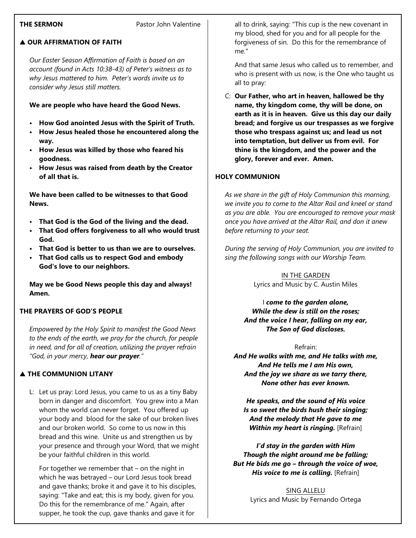**THE SERMON Pastor John Valentine** 

# **A OUR AFFIRMATION OF FAITH**

*Our Easter Season Affirmation of Faith is based on an account (found in Acts 10:38-43) of Peter's witness as to why Jesus mattered to him. Peter's words invite us to consider why Jesus still matters.* 

## **We are people who have heard the Good News.**

- **• How God anointed Jesus with the Spirit of Truth.**
- **• How Jesus healed those he encountered along the way.**
- **• How Jesus was killed by those who feared his goodness.**
- **• How Jesus was raised from death by the Creator of all that is.**

**We have been called to be witnesses to that Good News.**

- **• That God is the God of the living and the dead.**
- **• That God offers forgiveness to all who would trust God.**
- **• That God is better to us than we are to ourselves.**
- **• That God calls us to respect God and embody God's love to our neighbors.**

**May we be Good News people this day and always! Amen.**

# **THE PRAYERS OF GOD'S PEOPLE**

*Empowered by the Holy Spirit to manifest the Good News to the ends of the earth, we pray for the church, for people in need, and for all of creation, utilizing the prayer refrain "God, in your mercy, hear our prayer."*

# **A THE COMMUNION LITANY**

L: Let us pray: Lord Jesus, you came to us as a tiny Baby born in danger and discomfort. You grew into a Man whom the world can never forget. You offered up your body and blood for the sake of our broken lives and our broken world. So come to us now in this bread and this wine. Unite us and strengthen us by your presence and through your Word, that we might be your faithful children in this world.

For together we remember that – on the night in which he was betrayed – our Lord Jesus took bread and gave thanks; broke it and gave it to his disciples, saying: "Take and eat; this is my body, given for you. Do this for the remembrance of me." Again, after supper, he took the cup, gave thanks and gave it for

all to drink, saying: "This cup is the new covenant in my blood, shed for you and for all people for the forgiveness of sin. Do this for the remembrance of me."

And that same Jesus who called us to remember, and who is present with us now, is the One who taught us all to pray:

C: **Our Father, who art in heaven, hallowed be thy name, thy kingdom come, thy will be done, on earth as it is in heaven. Give us this day our daily bread; and forgive us our trespasses as we forgive those who trespass against us; and lead us not into temptation, but deliver us from evil. For thine is the kingdom, and the power and the glory, forever and ever. Amen.**

# **HOLY COMMUNION**

*As we share in the gift of Holy Communion this morning, we invite you to come to the Altar Rail and kneel or stand as you are able. You are encouraged to remove your mask once you have arrived at the Altar Rail, and don it anew before returning to your seat.*

*During the serving of Holy Communion, you are invited to sing the following songs with our Worship Team.*

> IN THE GARDEN Lyrics and Music by C. Austin Miles

I *come to the garden alone, While the dew is still on the roses; And the voice I hear, falling on my ear, The Son of God discloses.*

### Refrain:

*And He walks with me, and He talks with me, And He tells me I am His own, And the joy we share as we tarry there, None other has ever known.*

*He speaks, and the sound of His voice Is so sweet the birds hush their singing; And the melody that He gave to me Within my heart is ringing.* [Refrain]

*I'd stay in the garden with Him Though the night around me be falling; But He bids me go – through the voice of woe, His voice to me is calling.* [Refrain]

> SING ALLELU Lyrics and Music by Fernando Ortega